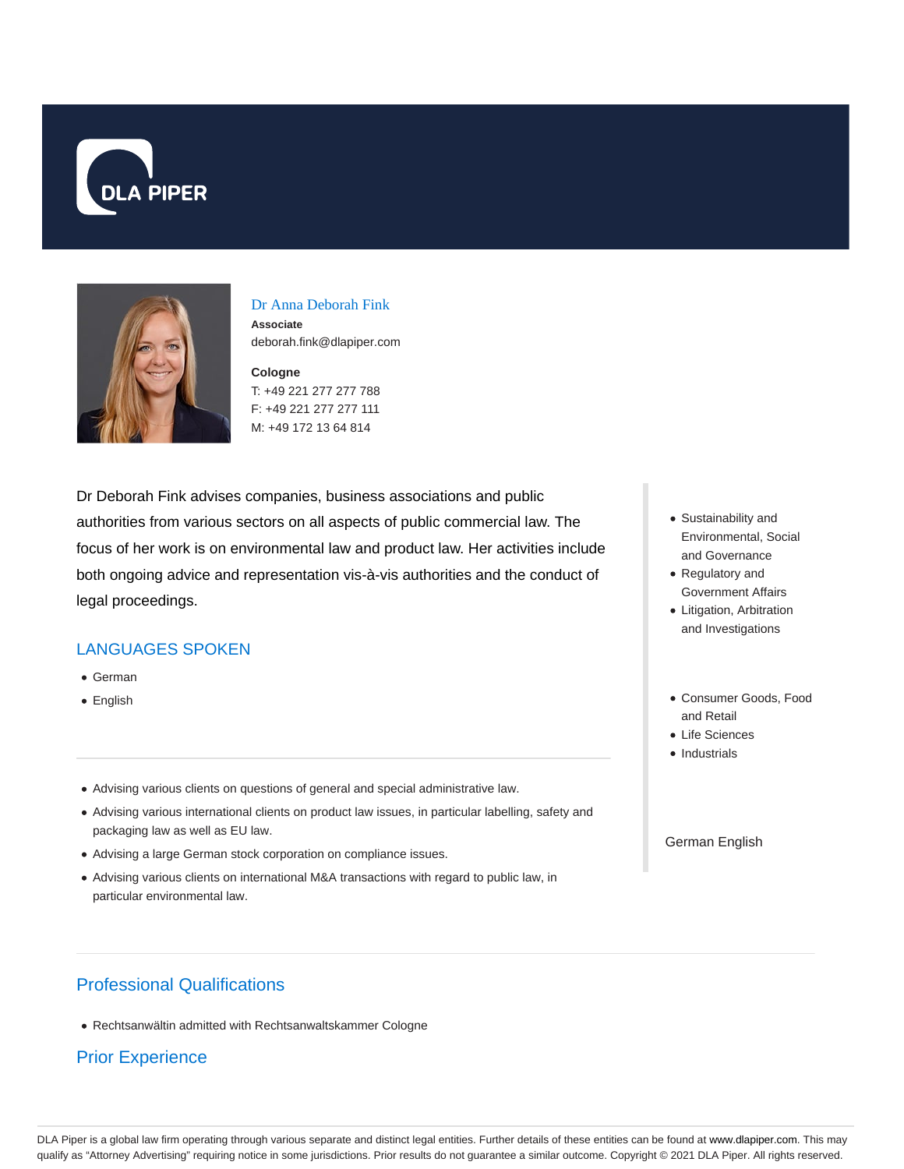



### Dr Anna Deborah Fink

**Associate** deborah.fink@dlapiper.com

## **Cologne** T: +49 221 277 277 788

F: +49 221 277 277 111 M: +49 172 13 64 814

Dr Deborah Fink advises companies, business associations and public authorities from various sectors on all aspects of public commercial law. The focus of her work is on environmental law and product law. Her activities include both ongoing advice and representation vis-à-vis authorities and the conduct of legal proceedings.

### LANGUAGES SPOKEN

- German
- English
- Advising various clients on questions of general and special administrative law.
- Advising various international clients on product law issues, in particular labelling, safety and packaging law as well as EU law.
- Advising a large German stock corporation on compliance issues.
- Advising various clients on international M&A transactions with regard to public law, in particular environmental law.
- Sustainability and Environmental, Social and Governance
- Regulatory and Government Affairs
- Litigation, Arbitration and Investigations
- Consumer Goods, Food and Retail
- Life Sciences
- Industrials

#### German English

# Professional Qualifications

Rechtsanwältin admitted with Rechtsanwaltskammer Cologne

## Prior Experience

DLA Piper is a global law firm operating through various separate and distinct legal entities. Further details of these entities can be found at www.dlapiper.com. This may qualify as "Attorney Advertising" requiring notice in some jurisdictions. Prior results do not guarantee a similar outcome. Copyright @ 2021 DLA Piper. All rights reserved.